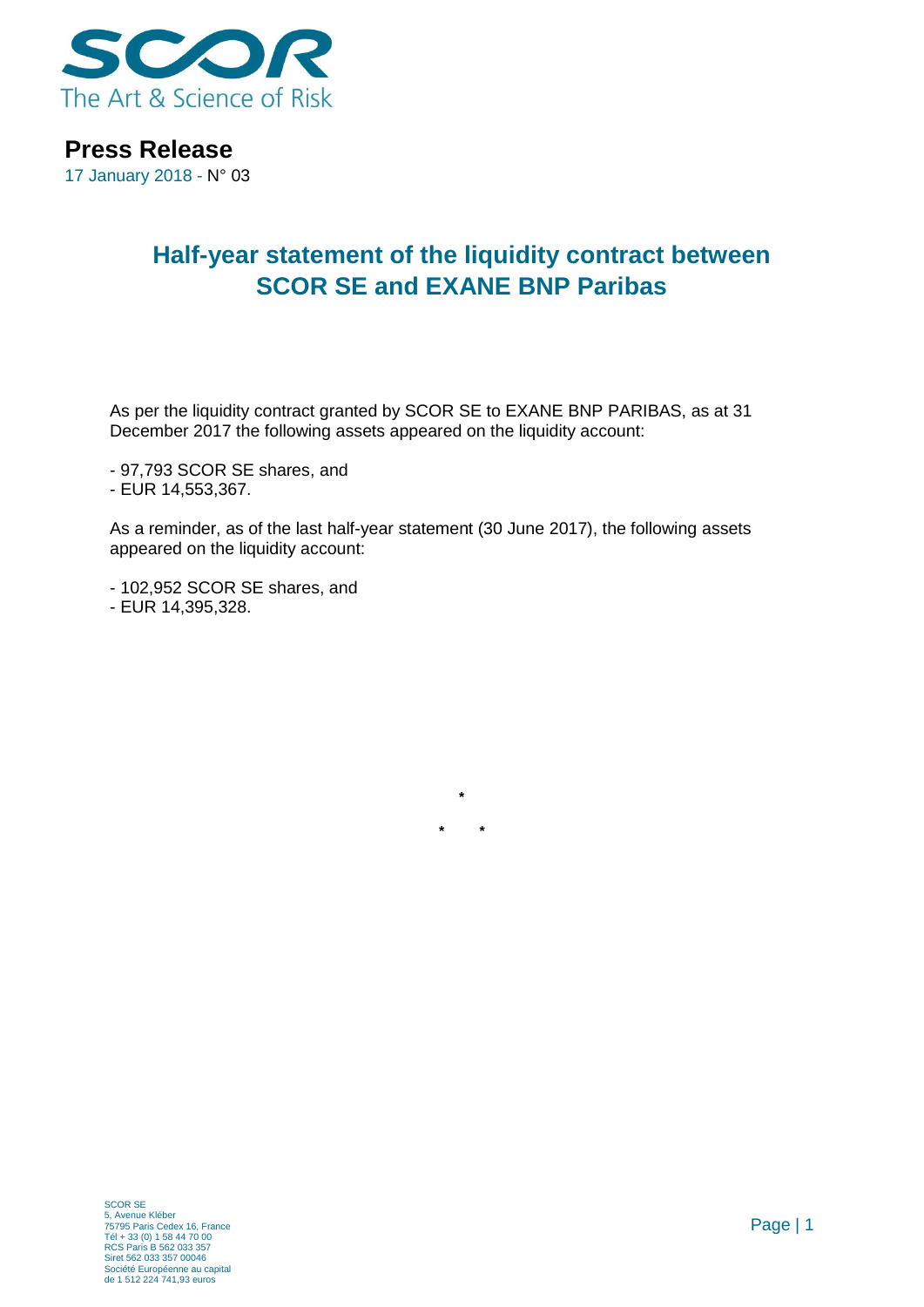

**Press Release**

17 January 2018 - N° 03

## **Half-year statement of the liquidity contract between SCOR SE and EXANE BNP Paribas**

As per the liquidity contract granted by SCOR SE to EXANE BNP PARIBAS, as at 31 December 2017 the following assets appeared on the liquidity account:

- 97,793 SCOR SE shares, and
- EUR 14,553,367.

As a reminder, as of the last half-year statement (30 June 2017), the following assets appeared on the liquidity account:

**\***

**\* \***

- 102,952 SCOR SE shares, and
- EUR 14,395,328.